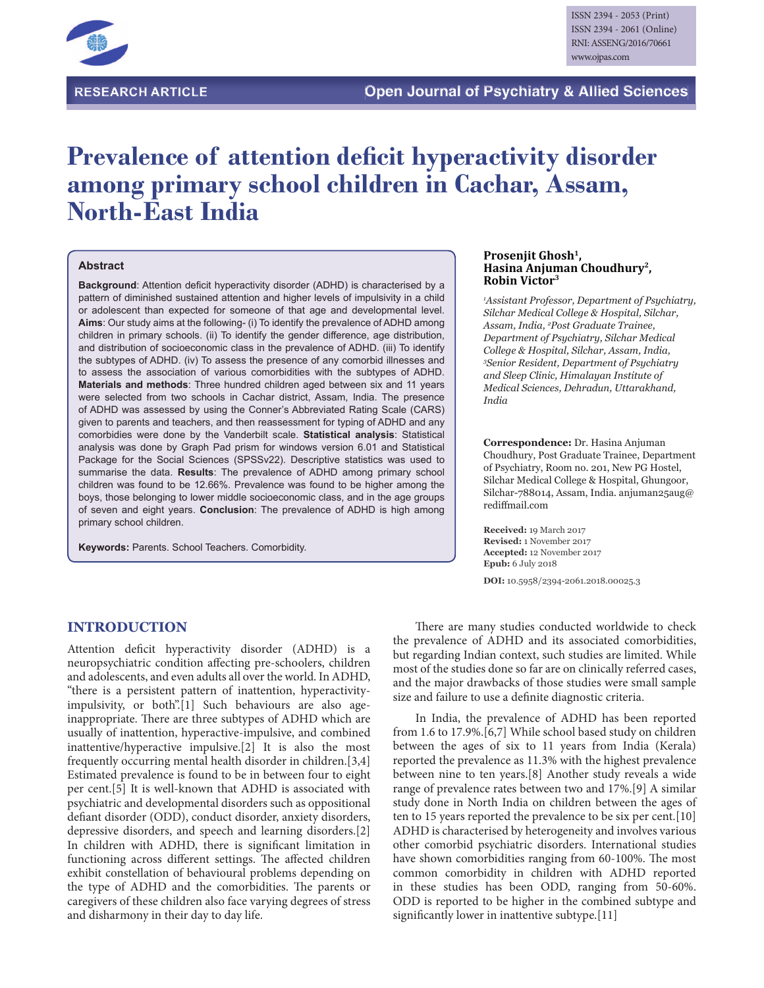

# **Prevalence of attention deficit hyperactivity disorder among primary school children in Cachar, Assam, North-East India**

#### **Abstract**

Background: Attention deficit hyperactivity disorder (ADHD) is characterised by a pattern of diminished sustained attention and higher levels of impulsivity in a child or adolescent than expected for someone of that age and developmental level. **Aims**: Our study aims at the following- (i) To identify the prevalence of ADHD among children in primary schools. (ii) To identify the gender difference, age distribution, and distribution of socioeconomic class in the prevalence of ADHD. (iii) To identify the subtypes of ADHD. (iv) To assess the presence of any comorbid illnesses and to assess the association of various comorbidities with the subtypes of ADHD. **Materials and methods**: Three hundred children aged between six and 11 years were selected from two schools in Cachar district, Assam, India. The presence of ADHD was assessed by using the Conner's Abbreviated Rating Scale (CARS) given to parents and teachers, and then reassessment for typing of ADHD and any comorbidies were done by the Vanderbilt scale. **Statistical analysis**: Statistical analysis was done by Graph Pad prism for windows version 6.01 and Statistical Package for the Social Sciences (SPSSv22). Descriptive statistics was used to summarise the data. **Results**: The prevalence of ADHD among primary school children was found to be 12.66%. Prevalence was found to be higher among the boys, those belonging to lower middle socioeconomic class, and in the age groups of seven and eight years. **Conclusion**: The prevalence of ADHD is high among primary school children.

**Keywords:** Parents. School Teachers. Comorbidity.

#### **Prosenjit Ghosh<sup>1</sup> , Hasina Anjuman Choudhury<sup>2</sup> , Robin Victor<sup>3</sup>**

<sup>1</sup>Assistant Professor, Department of Psychiatry, *<i>Silchar Medical College & Hospital, Silchar, Assam, India, <sup>2</sup>Post Graduate Trainee,* Department of Psychiatry, Silchar Medical College & Hospital, Silchar, Assam, India, <sup>3</sup>*Senior Resident, Department of Psychiatry* and Sleep Clinic, Himalayan Institute of *Medical Sciences, Dehradun, Uttarakhand,* India

**Correspondence:** Dr. Hasina Anjuman Choudhury, Post Graduate Trainee, Department of Psychiatry, Room no. 201, New PG Hostel, Silchar Medical College & Hospital, Ghungoor, Silchar-788014, Assam, India. anjuman25aug@ rediffmail.com

**Received:** 19 March 2017 **Revised:** 1 November 2017 **Accepted:** 12 November 2017 **Epub:** 6 July 2018 **DOI:** 10.5958/2394-2061.2018.00025.3

**INTRODUCTION**

Attention deficit hyperactivity disorder (ADHD) is a neuropsychiatric condition affecting pre-schoolers, children and adolescents, and even adults all over the world. In ADHD, "there is a persistent pattern of inattention, hyperactivityimpulsivity, or both".[1] Such behaviours are also ageinappropriate. There are three subtypes of ADHD which are usually of inattention, hyperactive-impulsive, and combined inattentive/hyperactive impulsive.[2] It is also the most frequently occurring mental health disorder in children.[3,4] Estimated prevalence is found to be in between four to eight per cent.[5] It is well-known that ADHD is associated with psychiatric and developmental disorders such as oppositional defiant disorder (ODD), conduct disorder, anxiety disorders, depressive disorders, and speech and learning disorders.[2] In children with ADHD, there is significant limitation in functioning across different settings. The affected children exhibit constellation of behavioural problems depending on the type of ADHD and the comorbidities. The parents or caregivers of these children also face varying degrees of stress and disharmony in their day to day life.

There are many studies conducted worldwide to check the prevalence of ADHD and its associated comorbidities, but regarding Indian context, such studies are limited. While most of the studies done so far are on clinically referred cases, and the major drawbacks of those studies were small sample size and failure to use a definite diagnostic criteria.

In India, the prevalence of ADHD has been reported from 1.6 to 17.9%.[6,7] While school based study on children between the ages of six to 11 years from India (Kerala) reported the prevalence as 11.3% with the highest prevalence between nine to ten years.[8] Another study reveals a wide range of prevalence rates between two and 17%.[9] A similar study done in North India on children between the ages of ten to 15 years reported the prevalence to be six per cent.[10] ADHD is characterised by heterogeneity and involves various other comorbid psychiatric disorders. International studies have shown comorbidities ranging from 60-100%. The most common comorbidity in children with ADHD reported in these studies has been ODD, ranging from 50-60%. ODD is reported to be higher in the combined subtype and significantly lower in inattentive subtype.<sup>[11]</sup>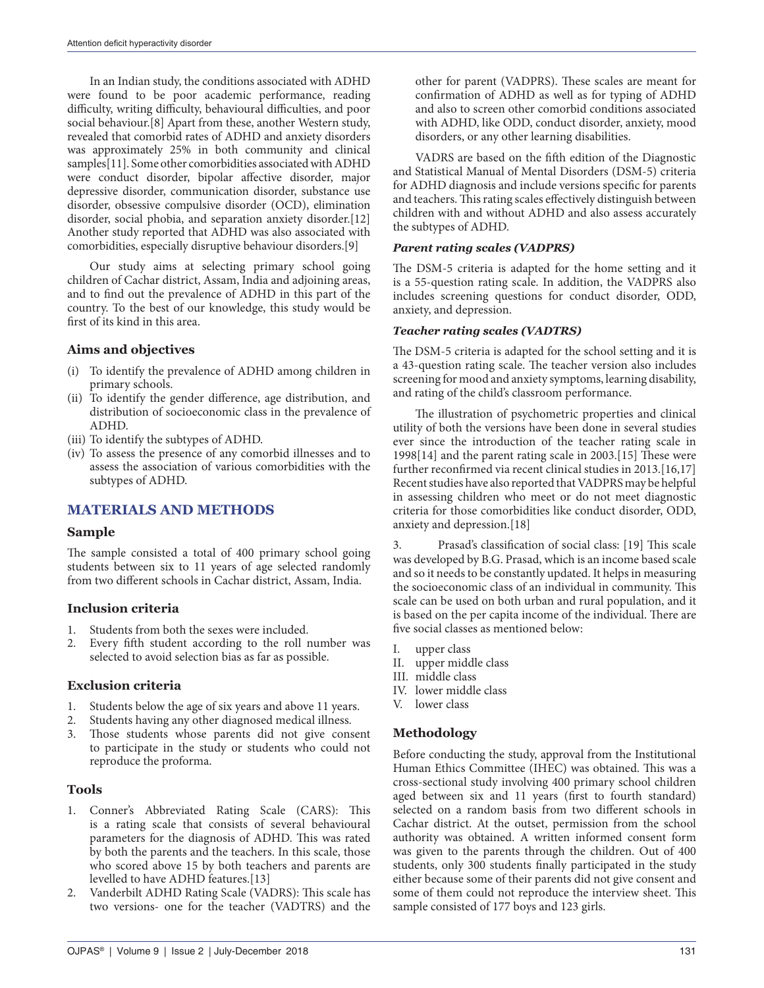In an Indian study, the conditions associated with ADHD were found to be poor academic performance, reading difficulty, writing difficulty, behavioural difficulties, and poor social behaviour.[8] Apart from these, another Western study, revealed that comorbid rates of ADHD and anxiety disorders was approximately 25% in both community and clinical samples[11]. Some other comorbidities associated with ADHD were conduct disorder, bipolar affective disorder, major depressive disorder, communication disorder, substance use disorder, obsessive compulsive disorder (OCD), elimination disorder, social phobia, and separation anxiety disorder.[12] Another study reported that ADHD was also associated with comorbidities, especially disruptive behaviour disorders.[9]

Our study aims at selecting primary school going children of Cachar district, Assam, India and adjoining areas, and to find out the prevalence of ADHD in this part of the country. To the best of our knowledge, this study would be first of its kind in this area.

# **Aims and objectives**

- (i) To identify the prevalence of ADHD among children in primary schools.
- (ii) To identify the gender difference, age distribution, and distribution of socioeconomic class in the prevalence of ADHD.
- (iii) To identify the subtypes of ADHD.
- (iv) To assess the presence of any comorbid illnesses and to assess the association of various comorbidities with the subtypes of ADHD.

# **MATERIALS AND METHODS**

# **Sample**

The sample consisted a total of 400 primary school going students between six to 11 years of age selected randomly from two different schools in Cachar district, Assam, India.

# **Inclusion criteria**

- 1. Students from both the sexes were included.
- 2. Every fifth student according to the roll number was selected to avoid selection bias as far as possible.

# **Exclusion criteria**

- 1. Students below the age of six years and above 11 years.
- 2. Students having any other diagnosed medical illness.
- 3. Those students whose parents did not give consent to participate in the study or students who could not reproduce the proforma.

# **Tools**

- 1. Conner's Abbreviated Rating Scale (CARS): This is a rating scale that consists of several behavioural parameters for the diagnosis of ADHD. This was rated by both the parents and the teachers. In this scale, those who scored above 15 by both teachers and parents are levelled to have ADHD features.[13]
- 2. Vanderbilt ADHD Rating Scale (VADRS): This scale has two versions- one for the teacher (VADTRS) and the

other for parent (VADPRS). These scales are meant for confirmation of ADHD as well as for typing of ADHD and also to screen other comorbid conditions associated with ADHD, like ODD, conduct disorder, anxiety, mood disorders, or any other learning disabilities.

VADRS are based on the fifth edition of the Diagnostic and Statistical Manual of Mental Disorders (DSM-5) criteria for ADHD diagnosis and include versions specific for parents and teachers. This rating scales effectively distinguish between children with and without ADHD and also assess accurately the subtypes of ADHD.

# *Parent rating scales (VADPRS)*

The DSM-5 criteria is adapted for the home setting and it is a 55-question rating scale. In addition, the VADPRS also includes screening questions for conduct disorder, ODD, anxiety, and depression.

# *Teacher rating scales (VADTRS)*

The DSM-5 criteria is adapted for the school setting and it is a 43-question rating scale. The teacher version also includes screening for mood and anxiety symptoms, learning disability, and rating of the child's classroom performance.

The illustration of psychometric properties and clinical utility of both the versions have been done in several studies ever since the introduction of the teacher rating scale in 1998 $[14]$  and the parent rating scale in 2003. $[15]$  These were further reconfirmed via recent clinical studies in  $2013.[16,17]$ Recent studies have also reported that VADPRS may be helpful in assessing children who meet or do not meet diagnostic criteria for those comorbidities like conduct disorder, ODD, anxiety and depression.[18]

3. Prasad's classification of social class: [19] This scale was developed by B.G. Prasad, which is an income based scale and so it needs to be constantly updated. It helps in measuring the socioeconomic class of an individual in community. This scale can be used on both urban and rural population, and it is based on the per capita income of the individual. There are five social classes as mentioned below:

- I. upper class
- II. upper middle class
- III. middle class
- IV. lower middle class
- V. lower class

# **Methodology**

Before conducting the study, approval from the Institutional Human Ethics Committee (IHEC) was obtained. This was a cross-sectional study involving 400 primary school children aged between six and 11 years (first to fourth standard) selected on a random basis from two different schools in Cachar district. At the outset, permission from the school authority was obtained. A written informed consent form was given to the parents through the children. Out of 400 students, only 300 students finally participated in the study either because some of their parents did not give consent and some of them could not reproduce the interview sheet. This sample consisted of 177 boys and 123 girls.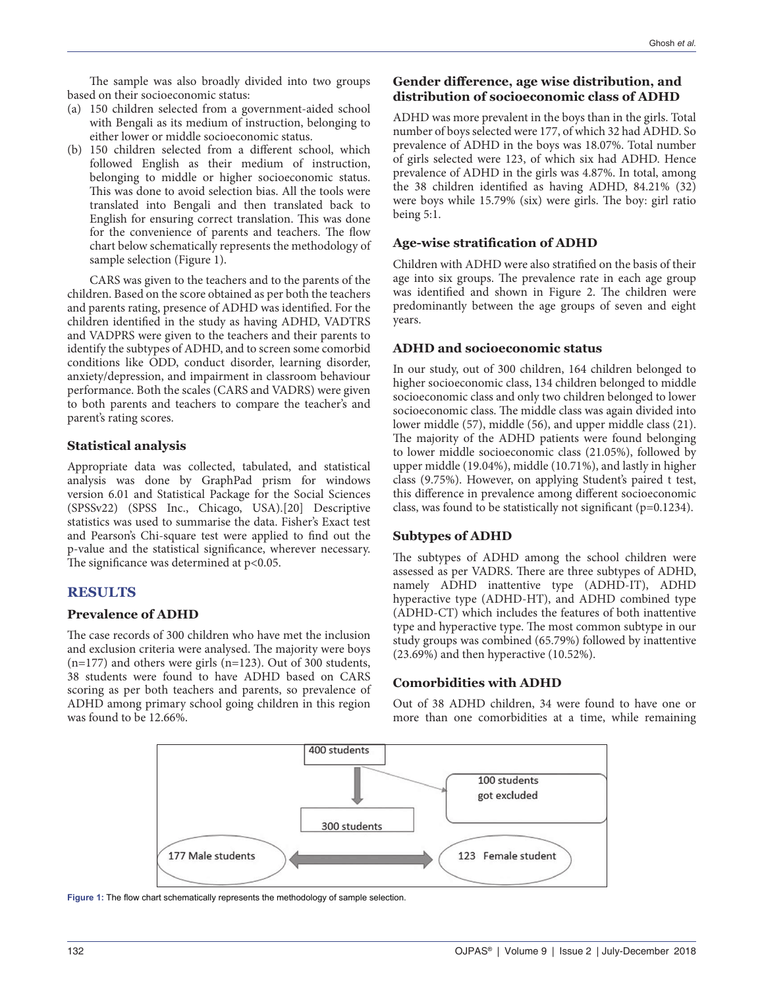The sample was also broadly divided into two groups based on their socioeconomic status:

- (a) 150 children selected from a government-aided school with Bengali as its medium of instruction, belonging to either lower or middle socioeconomic status.
- (b) 150 children selected from a different school, which followed English as their medium of instruction, belonging to middle or higher socioeconomic status. This was done to avoid selection bias. All the tools were translated into Bengali and then translated back to English for ensuring correct translation. This was done for the convenience of parents and teachers. The flow chart below schematically represents the methodology of sample selection (Figure 1).

CARS was given to the teachers and to the parents of the children. Based on the score obtained as per both the teachers and parents rating, presence of ADHD was identified. For the children identified in the study as having ADHD, VADTRS and VADPRS were given to the teachers and their parents to identify the subtypes of ADHD, and to screen some comorbid conditions like ODD, conduct disorder, learning disorder, anxiety/depression, and impairment in classroom behaviour performance. Both the scales (CARS and VADRS) were given to both parents and teachers to compare the teacher's and parent's rating scores.

# **Statistical analysis**

Appropriate data was collected, tabulated, and statistical analysis was done by GraphPad prism for windows version 6.01 and Statistical Package for the Social Sciences (SPSSv22) (SPSS Inc., Chicago, USA).[20] Descriptive statistics was used to summarise the data. Fisher's Exact test and Pearson's Chi-square test were applied to find out the p-value and the statistical signicance, wherever necessary. The significance was determined at  $p<0.05$ .

## **RESULTS**

# **Prevalence of ADHD**

The case records of 300 children who have met the inclusion and exclusion criteria were analysed. The majority were boys (n=177) and others were girls (n=123). Out of 300 students, 38 students were found to have ADHD based on CARS scoring as per both teachers and parents, so prevalence of ADHD among primary school going children in this region was found to be 12.66%.

# Gender difference, age wise distribution, and **distribution of socioeconomic class of ADHD**

ADHD was more prevalent in the boys than in the girls. Total number of boys selected were 177, of which 32 had ADHD. So prevalence of ADHD in the boys was 18.07%. Total number of girls selected were 123, of which six had ADHD. Hence prevalence of ADHD in the girls was 4.87%. In total, among the 38 children identified as having ADHD,  $84.21\%$  (32) were boys while  $15.79\%$  (six) were girls. The boy: girl ratio being 5:1.

## **Age-wise stratification of ADHD**

Children with ADHD were also stratified on the basis of their age into six groups. The prevalence rate in each age group was identified and shown in Figure 2. The children were predominantly between the age groups of seven and eight years.

## **ADHD and socioeconomic status**

In our study, out of 300 children, 164 children belonged to higher socioeconomic class, 134 children belonged to middle socioeconomic class and only two children belonged to lower socioeconomic class. The middle class was again divided into lower middle (57), middle (56), and upper middle class (21). The majority of the ADHD patients were found belonging to lower middle socioeconomic class (21.05%), followed by upper middle (19.04%), middle (10.71%), and lastly in higher class (9.75%). However, on applying Student's paired t test, this difference in prevalence among different socioeconomic class, was found to be statistically not significant ( $p=0.1234$ ).

## **Subtypes of ADHD**

The subtypes of ADHD among the school children were assessed as per VADRS. There are three subtypes of ADHD, namely ADHD inattentive type (ADHD-IT), ADHD hyperactive type (ADHD-HT), and ADHD combined type (ADHD-CT) which includes the features of both inattentive type and hyperactive type. The most common subtype in our study groups was combined (65.79%) followed by inattentive (23.69%) and then hyperactive (10.52%).

# **Comorbidities with ADHD**

Out of 38 ADHD children, 34 were found to have one or more than one comorbidities at a time, while remaining



Figure 1: The flow chart schematically represents the methodology of sample selection.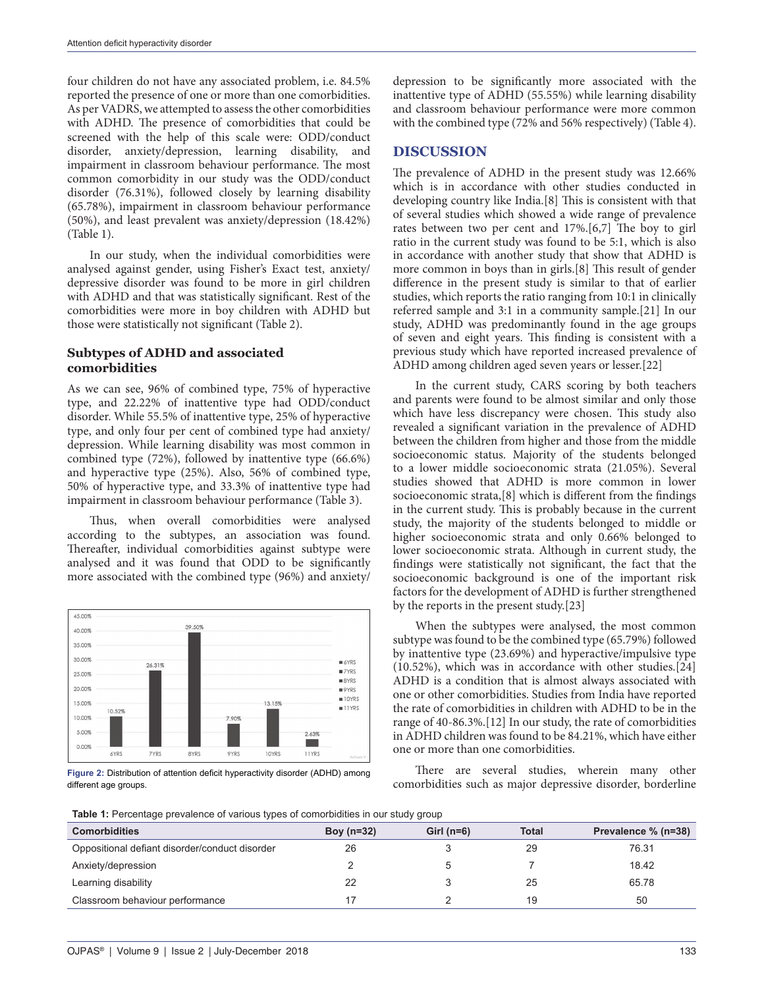four children do not have any associated problem, i.e. 84.5% reported the presence of one or more than one comorbidities. As per VADRS, we attempted to assess the other comorbidities with ADHD. The presence of comorbidities that could be screened with the help of this scale were: ODD/conduct disorder, anxiety/depression, learning disability, and impairment in classroom behaviour performance. The most common comorbidity in our study was the ODD/conduct disorder (76.31%), followed closely by learning disability (65.78%), impairment in classroom behaviour performance (50%), and least prevalent was anxiety/depression (18.42%) (Table 1).

In our study, when the individual comorbidities were analysed against gender, using Fisher's Exact test, anxiety/ depressive disorder was found to be more in girl children with ADHD and that was statistically significant. Rest of the comorbidities were more in boy children with ADHD but those were statistically not significant (Table 2).

# **Subtypes of ADHD and associated comorbidities**

As we can see, 96% of combined type, 75% of hyperactive type, and 22.22% of inattentive type had ODD/conduct disorder. While 55.5% of inattentive type, 25% of hyperactive type, and only four per cent of combined type had anxiety/ depression. While learning disability was most common in combined type (72%), followed by inattentive type (66.6%) and hyperactive type (25%). Also, 56% of combined type, 50% of hyperactive type, and 33.3% of inattentive type had impairment in classroom behaviour performance (Table 3).

Thus, when overall comorbidities were analysed according to the subtypes, an association was found. Thereafter, individual comorbidities against subtype were analysed and it was found that ODD to be signicantly more associated with the combined type (96%) and anxiety/



Figure 2: Distribution of attention deficit hyperactivity disorder (ADHD) among different age groups.

depression to be signicantly more associated with the inattentive type of ADHD (55.55%) while learning disability and classroom behaviour performance were more common with the combined type (72% and 56% respectively) (Table 4).

# **DISCUSSION**

The prevalence of ADHD in the present study was 12.66% which is in accordance with other studies conducted in developing country like India.[8] This is consistent with that of several studies which showed a wide range of prevalence rates between two per cent and  $17\%$ .[6,7] The boy to girl ratio in the current study was found to be 5:1, which is also in accordance with another study that show that ADHD is more common in boys than in girls.[8] This result of gender difference in the present study is similar to that of earlier studies, which reports the ratio ranging from 10:1 in clinically referred sample and 3:1 in a community sample.[21] In our study, ADHD was predominantly found in the age groups of seven and eight years. This finding is consistent with a previous study which have reported increased prevalence of ADHD among children aged seven years or lesser.[22]

In the current study, CARS scoring by both teachers and parents were found to be almost similar and only those which have less discrepancy were chosen. This study also revealed a significant variation in the prevalence of ADHD between the children from higher and those from the middle socioeconomic status. Majority of the students belonged to a lower middle socioeconomic strata (21.05%). Several studies showed that ADHD is more common in lower socioeconomic strata, [8] which is different from the findings in the current study. This is probably because in the current study, the majority of the students belonged to middle or higher socioeconomic strata and only 0.66% belonged to lower socioeconomic strata. Although in current study, the ndings were statistically not signicant, the fact that the socioeconomic background is one of the important risk factors for the development of ADHD is further strengthened by the reports in the present study.[23]

When the subtypes were analysed, the most common subtype was found to be the combined type (65.79%) followed by inattentive type (23.69%) and hyperactive/impulsive type (10.52%), which was in accordance with other studies.[24] ADHD is a condition that is almost always associated with one or other comorbidities. Studies from India have reported the rate of comorbidities in children with ADHD to be in the range of 40-86.3%.[12] In our study, the rate of comorbidities in ADHD children was found to be 84.21%, which have either one or more than one comorbidities.

There are several studies, wherein many other comorbidities such as major depressive disorder, borderline

**Table 1:** Percentage prevalence of various types of comorbidities in our study group

| . .                                            |              |              |              |                     |
|------------------------------------------------|--------------|--------------|--------------|---------------------|
| <b>Comorbidities</b>                           | Boy $(n=32)$ | Girl $(n=6)$ | <b>Total</b> | Prevalence % (n=38) |
| Oppositional defiant disorder/conduct disorder | 26           |              | 29           | 76.31               |
| Anxiety/depression                             |              |              |              | 18.42               |
| Learning disability                            | 22           |              | 25           | 65.78               |
| Classroom behaviour performance                |              |              | 19           | 50                  |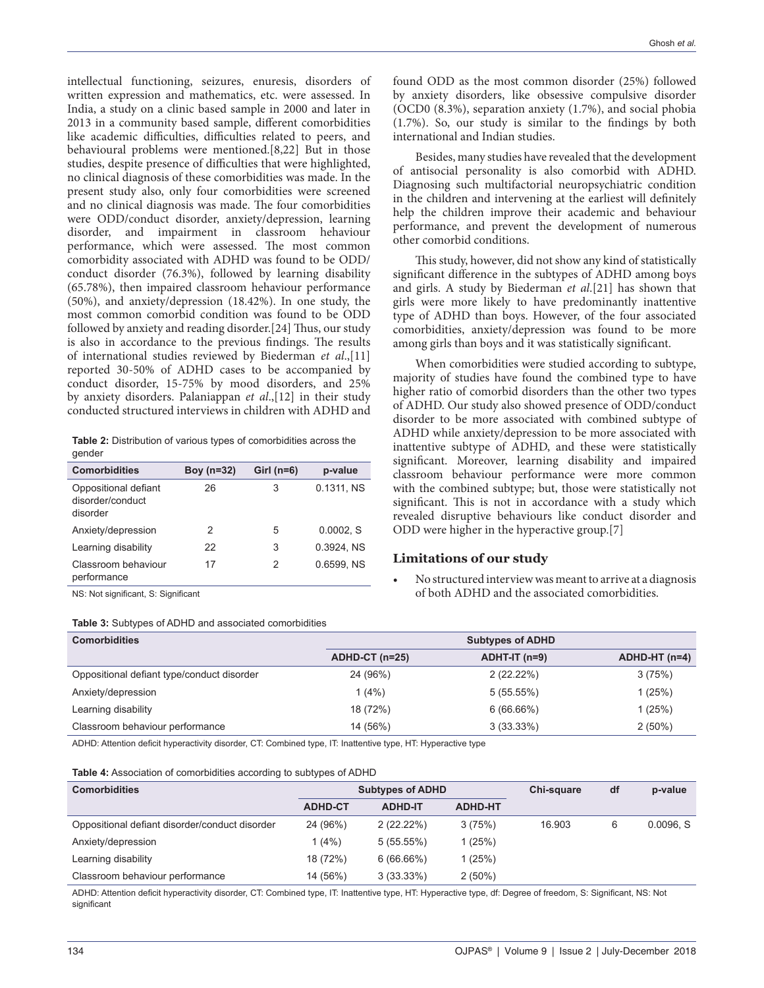intellectual functioning, seizures, enuresis, disorders of written expression and mathematics, etc. were assessed. In India, a study on a clinic based sample in 2000 and later in 2013 in a community based sample, different comorbidities like academic difficulties, difficulties related to peers, and behavioural problems were mentioned.[8,22] But in those studies, despite presence of difficulties that were highlighted, no clinical diagnosis of these comorbidities was made. In the present study also, only four comorbidities were screened and no clinical diagnosis was made. The four comorbidities were ODD/conduct disorder, anxiety/depression, learning disorder, and impairment in classroom hehaviour performance, which were assessed. The most common comorbidity associated with ADHD was found to be ODD/ conduct disorder (76.3%), followed by learning disability (65.78%), then impaired classroom hehaviour performance (50%), and anxiety/depression (18.42%). In one study, the most common comorbid condition was found to be ODD followed by anxiety and reading disorder.[24] Thus, our study is also in accordance to the previous findings. The results of international studies reviewed by Biederman et al.,[11] reported 30-50% of ADHD cases to be accompanied by conduct disorder, 15-75% by mood disorders, and 25% by anxiety disorders. Palaniappan et al.,[12] in their study conducted structured interviews in children with ADHD and

**Table 2:** Distribution of various types of comorbidities across the gender

| <b>Comorbidities</b>                                 | Boy $(n=32)$ | Girl $(n=6)$ | p-value    |
|------------------------------------------------------|--------------|--------------|------------|
| Oppositional defiant<br>disorder/conduct<br>disorder | 26           | 3            | 0.1311, NS |
| Anxiety/depression                                   | 2            | 5            | 0.0002, S  |
| Learning disability                                  | 22           | 3            | 0.3924, NS |
| Classroom behaviour<br>performance                   | 17           | 2            | 0.6599, NS |

NS: Not significant, S: Significant

**Table 3:** Subtypes of ADHD and associated comorbidities

found ODD as the most common disorder (25%) followed by anxiety disorders, like obsessive compulsive disorder (OCD0 (8.3%), separation anxiety (1.7%), and social phobia  $(1.7\%)$ . So, our study is similar to the findings by both international and Indian studies.

Besides, many studies have revealed that the development of antisocial personality is also comorbid with ADHD. Diagnosing such multifactorial neuropsychiatric condition in the children and intervening at the earliest will definitely help the children improve their academic and behaviour performance, and prevent the development of numerous other comorbid conditions.

This study, however, did not show any kind of statistically significant difference in the subtypes of ADHD among boys and girls. A study by Biederman et al.[21] has shown that girls were more likely to have predominantly inattentive type of ADHD than boys. However, of the four associated comorbidities, anxiety/depression was found to be more among girls than boys and it was statistically significant.

When comorbidities were studied according to subtype, majority of studies have found the combined type to have higher ratio of comorbid disorders than the other two types of ADHD. Our study also showed presence of ODD/conduct disorder to be more associated with combined subtype of ADHD while anxiety/depression to be more associated with inattentive subtype of ADHD, and these were statistically significant. Moreover, learning disability and impaired classroom behaviour performance were more common with the combined subtype; but, those were statistically not significant. This is not in accordance with a study which revealed disruptive behaviours like conduct disorder and ODD were higher in the hyperactive group.[7]

## **Limitations of our study**

No structured interview was meant to arrive at a diagnosis of both ADHD and the associated comorbidities.

| <b>Comorbidities</b>                       | <b>Subtypes of ADHD</b> |                 |                 |  |
|--------------------------------------------|-------------------------|-----------------|-----------------|--|
|                                            | $ADHD-CT (n=25)$        | $ADHT-IT (n=9)$ | $ADHD-HT (n=4)$ |  |
| Oppositional defiant type/conduct disorder | 24 (96%)                | 2(22.22%)       | 3(75%)          |  |
| Anxiety/depression                         | 1(4%)                   | 5(55.55%)       | 1(25%)          |  |
| Learning disability                        | 18 (72%)                | 6(66.66%)       | 1(25%)          |  |
| Classroom behaviour performance            | 14 (56%)                | $3(33.33\%)$    | 2(50%)          |  |

ADHD: Attention deficit hyperactivity disorder, CT: Combined type, IT: Inattentive type, HT: Hyperactive type

#### **Table 4:** Association of comorbidities according to subtypes of ADHD

| <b>Comorbidities</b>                           | <b>Subtypes of ADHD</b> |                | Chi-square     | df     | p-value |           |
|------------------------------------------------|-------------------------|----------------|----------------|--------|---------|-----------|
|                                                | <b>ADHD-CT</b>          | <b>ADHD-IT</b> | <b>ADHD-HT</b> |        |         |           |
| Oppositional defiant disorder/conduct disorder | 24 (96%)                | 2(22.22%)      | 3(75%)         | 16.903 | 6       | 0.0096, S |
| Anxiety/depression                             | 1(4%)                   | 5(55.55%)      | 1(25%)         |        |         |           |
| Learning disability                            | 18 (72%)                | 6(66.66%)      | 1(25%)         |        |         |           |
| Classroom behaviour performance                | 14 (56%)                | $3(33.33\%)$   | $2(50\%)$      |        |         |           |

ADHD: Attention deficit hyperactivity disorder, CT: Combined type, IT: Inattentive type, HT: Hyperactive type, df: Degree of freedom, S: Significant, NS: Not significant